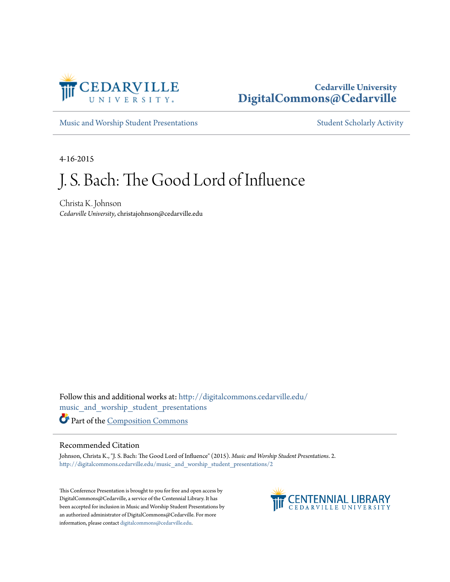

# **Cedarville University [DigitalCommons@Cedarville](http://digitalcommons.cedarville.edu?utm_source=digitalcommons.cedarville.edu%2Fmusic_and_worship_student_presentations%2F2&utm_medium=PDF&utm_campaign=PDFCoverPages)**

[Music and Worship Student Presentations](http://digitalcommons.cedarville.edu/music_and_worship_student_presentations?utm_source=digitalcommons.cedarville.edu%2Fmusic_and_worship_student_presentations%2F2&utm_medium=PDF&utm_campaign=PDFCoverPages) [Student Scholarly Activity](http://digitalcommons.cedarville.edu/music_student_scholarly_activity?utm_source=digitalcommons.cedarville.edu%2Fmusic_and_worship_student_presentations%2F2&utm_medium=PDF&utm_campaign=PDFCoverPages)

4-16-2015

# J. S. Bach: The Good Lord of Influence

Christa K. Johnson *Cedarville University*, christajohnson@cedarville.edu

Follow this and additional works at: [http://digitalcommons.cedarville.edu/](http://digitalcommons.cedarville.edu/music_and_worship_student_presentations?utm_source=digitalcommons.cedarville.edu%2Fmusic_and_worship_student_presentations%2F2&utm_medium=PDF&utm_campaign=PDFCoverPages) [music\\_and\\_worship\\_student\\_presentations](http://digitalcommons.cedarville.edu/music_and_worship_student_presentations?utm_source=digitalcommons.cedarville.edu%2Fmusic_and_worship_student_presentations%2F2&utm_medium=PDF&utm_campaign=PDFCoverPages) Part of the [Composition Commons](http://network.bepress.com/hgg/discipline/519?utm_source=digitalcommons.cedarville.edu%2Fmusic_and_worship_student_presentations%2F2&utm_medium=PDF&utm_campaign=PDFCoverPages)

# Recommended Citation

Johnson, Christa K., "J. S. Bach: The Good Lord of Influence" (2015). *Music and Worship Student Presentations*. 2. [http://digitalcommons.cedarville.edu/music\\_and\\_worship\\_student\\_presentations/2](http://digitalcommons.cedarville.edu/music_and_worship_student_presentations/2?utm_source=digitalcommons.cedarville.edu%2Fmusic_and_worship_student_presentations%2F2&utm_medium=PDF&utm_campaign=PDFCoverPages)

This Conference Presentation is brought to you for free and open access by DigitalCommons@Cedarville, a service of the Centennial Library. It has been accepted for inclusion in Music and Worship Student Presentations by an authorized administrator of DigitalCommons@Cedarville. For more information, please contact [digitalcommons@cedarville.edu.](mailto:digitalcommons@cedarville.edu)

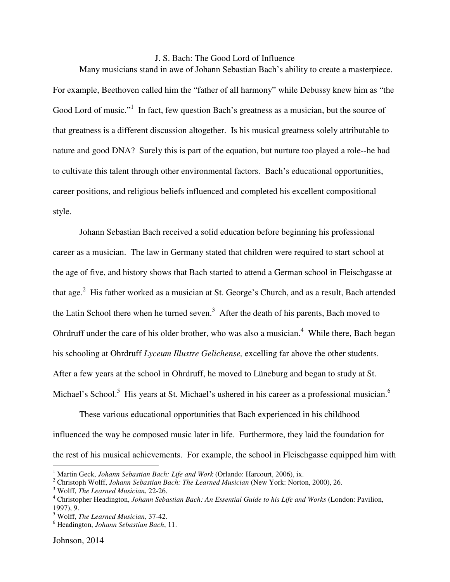#### J. S. Bach: The Good Lord of Influence

Many musicians stand in awe of Johann Sebastian Bach's ability to create a masterpiece. For example, Beethoven called him the "father of all harmony" while Debussy knew him as "the Good Lord of music."<sup>1</sup> In fact, few question Bach's greatness as a musician, but the source of that greatness is a different discussion altogether. Is his musical greatness solely attributable to nature and good DNA? Surely this is part of the equation, but nurture too played a role--he had to cultivate this talent through other environmental factors. Bach's educational opportunities, career positions, and religious beliefs influenced and completed his excellent compositional style.

Johann Sebastian Bach received a solid education before beginning his professional career as a musician. The law in Germany stated that children were required to start school at the age of five, and history shows that Bach started to attend a German school in Fleischgasse at that age.<sup>2</sup> His father worked as a musician at St. George's Church, and as a result, Bach attended the Latin School there when he turned seven.<sup>3</sup> After the death of his parents, Bach moved to Ohrdruff under the care of his older brother, who was also a musician.<sup>4</sup> While there, Bach began his schooling at Ohrdruff *Lyceum Illustre Gelichense,* excelling far above the other students. After a few years at the school in Ohrdruff, he moved to Lüneburg and began to study at St. Michael's School.<sup>5</sup> His years at St. Michael's ushered in his career as a professional musician.<sup>6</sup>

These various educational opportunities that Bach experienced in his childhood influenced the way he composed music later in life. Furthermore, they laid the foundation for the rest of his musical achievements. For example, the school in Fleischgasse equipped him with

<sup>&</sup>lt;sup>1</sup> Martin Geck, *Johann Sebastian Bach: Life and Work* (Orlando: Harcourt, 2006), ix.

<sup>2</sup> Christoph Wolff, *Johann Sebastian Bach: The Learned Musician* (New York: Norton, 2000), 26.

<sup>3</sup> Wolff, *The Learned Musician*, 22-26.

<sup>4</sup> Christopher Headington, *Johann Sebastian Bach: An Essential Guide to his Life and Works* (London: Pavilion, 1997), 9.

<sup>5</sup> Wolff, *The Learned Musician,* 37-42.

<sup>6</sup> Headington, *Johann Sebastian Bach*, 11.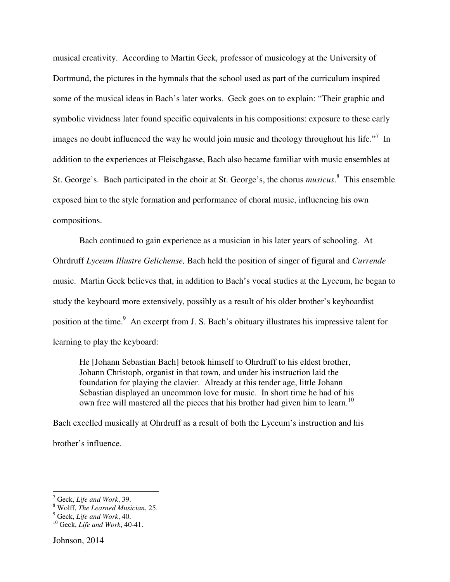musical creativity. According to Martin Geck, professor of musicology at the University of Dortmund, the pictures in the hymnals that the school used as part of the curriculum inspired some of the musical ideas in Bach's later works. Geck goes on to explain: "Their graphic and symbolic vividness later found specific equivalents in his compositions: exposure to these early images no doubt influenced the way he would join music and theology throughout his life."<sup>7</sup> In addition to the experiences at Fleischgasse, Bach also became familiar with music ensembles at St. George's. Bach participated in the choir at St. George's, the chorus *musicus*. 8 This ensemble exposed him to the style formation and performance of choral music, influencing his own compositions.

Bach continued to gain experience as a musician in his later years of schooling. At Ohrdruff *Lyceum Illustre Gelichense,* Bach held the position of singer of figural and *Currende* music. Martin Geck believes that, in addition to Bach's vocal studies at the Lyceum, he began to study the keyboard more extensively, possibly as a result of his older brother's keyboardist position at the time.<sup>9</sup> An excerpt from J. S. Bach's obituary illustrates his impressive talent for learning to play the keyboard:

He [Johann Sebastian Bach] betook himself to Ohrdruff to his eldest brother, Johann Christoph, organist in that town, and under his instruction laid the foundation for playing the clavier. Already at this tender age, little Johann Sebastian displayed an uncommon love for music. In short time he had of his own free will mastered all the pieces that his brother had given him to learn.<sup>10</sup>

Bach excelled musically at Ohrdruff as a result of both the Lyceum's instruction and his brother's influence.

<sup>7</sup> Geck, *Life and Work*, 39.

<sup>8</sup> Wolff, *The Learned Musician*, 25.

<sup>9</sup> Geck, *Life and Work*, 40.

<sup>10</sup> Geck, *Life and Work*, 40-41.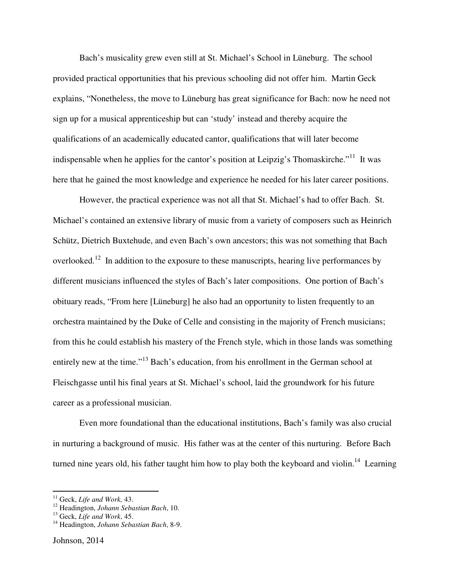Bach's musicality grew even still at St. Michael's School in Lüneburg. The school provided practical opportunities that his previous schooling did not offer him. Martin Geck explains, "Nonetheless, the move to Lüneburg has great significance for Bach: now he need not sign up for a musical apprenticeship but can 'study' instead and thereby acquire the qualifications of an academically educated cantor, qualifications that will later become indispensable when he applies for the cantor's position at Leipzig's Thomaskirche. $"^{11}$  It was here that he gained the most knowledge and experience he needed for his later career positions.

 However, the practical experience was not all that St. Michael's had to offer Bach. St. Michael's contained an extensive library of music from a variety of composers such as Heinrich Schütz, Dietrich Buxtehude, and even Bach's own ancestors; this was not something that Bach overlooked.<sup>12</sup> In addition to the exposure to these manuscripts, hearing live performances by different musicians influenced the styles of Bach's later compositions. One portion of Bach's obituary reads, "From here [Lüneburg] he also had an opportunity to listen frequently to an orchestra maintained by the Duke of Celle and consisting in the majority of French musicians; from this he could establish his mastery of the French style, which in those lands was something entirely new at the time."<sup>13</sup> Bach's education, from his enrollment in the German school at Fleischgasse until his final years at St. Michael's school, laid the groundwork for his future career as a professional musician.

Even more foundational than the educational institutions, Bach's family was also crucial in nurturing a background of music. His father was at the center of this nurturing. Before Bach turned nine years old, his father taught him how to play both the keyboard and violin.<sup>14</sup> Learning

<sup>11</sup> Geck, *Life and Work,* 43.

<sup>12</sup> Headington, *Johann Sebastian Bach*, 10.

<sup>13</sup> Geck, *Life and Work*, 45.

<sup>14</sup> Headington, *Johann Sebastian Bach*, 8-9.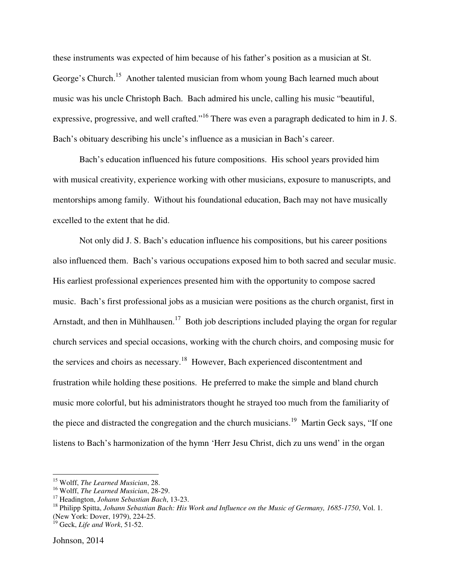these instruments was expected of him because of his father's position as a musician at St. George's Church.<sup>15</sup> Another talented musician from whom young Bach learned much about music was his uncle Christoph Bach. Bach admired his uncle, calling his music "beautiful, expressive, progressive, and well crafted."<sup>16</sup> There was even a paragraph dedicated to him in J. S. Bach's obituary describing his uncle's influence as a musician in Bach's career.

Bach's education influenced his future compositions. His school years provided him with musical creativity, experience working with other musicians, exposure to manuscripts, and mentorships among family. Without his foundational education, Bach may not have musically excelled to the extent that he did.

Not only did J. S. Bach's education influence his compositions, but his career positions also influenced them. Bach's various occupations exposed him to both sacred and secular music. His earliest professional experiences presented him with the opportunity to compose sacred music. Bach's first professional jobs as a musician were positions as the church organist, first in Arnstadt, and then in Mühlhausen.<sup>17</sup> Both job descriptions included playing the organ for regular church services and special occasions, working with the church choirs, and composing music for the services and choirs as necessary.<sup>18</sup> However, Bach experienced discontentment and frustration while holding these positions. He preferred to make the simple and bland church music more colorful, but his administrators thought he strayed too much from the familiarity of the piece and distracted the congregation and the church musicians.<sup>19</sup> Martin Geck says, "If one listens to Bach's harmonization of the hymn 'Herr Jesu Christ, dich zu uns wend' in the organ

<sup>15</sup> Wolff, *The Learned Musician*, 28.

<sup>16</sup> Wolff, *The Learned Musician*, 28-29.

<sup>17</sup> Headington, *Johann Sebastian Bach*, 13-23.

<sup>18</sup> Philipp Spitta, *Johann Sebastian Bach: His Work and Influence on the Music of Germany, 1685-1750*, Vol. 1. (New York: Dover, 1979), 224-25.

<sup>19</sup> Geck, *Life and Work*, 51-52.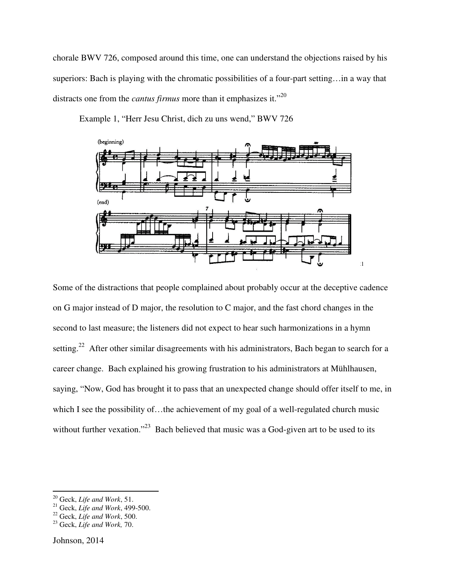chorale BWV 726, composed around this time, one can understand the objections raised by his chorale BWV 726, composed around this time, one can understand the objections raised by his<br>superiors: Bach is playing with the chromatic possibilities of a four-part setting...in a way that distracts one from the *cantus firmus firmus* more than it emphasizes it."<sup>20</sup>



Example 1, "Herr Jesu Christ, dich zu uns wend," BWV 726

Some of the distractions that people complained about probably occur at the deceptive cadence on G major instead of D major, the resolution to C major, and the fast chord changes in the Some of the distractions that people complained about probably occur at the deceptive cadence<br>on G major instead of D major, the resolution to C major, and the fast chord changes in the<br>second to last measure; the listener setting.<sup>22</sup> After other similar disagreements with his administrators, Bach began to search for a career change. Bach explained his growing frustration to his administrators at Mühlhausen, setting.<sup>22</sup> After other similar disagreements with his administrators, Bach began to search for a<br>career change. Bach explained his growing frustration to his administrators at Mühlhausen,<br>saying, "Now, God has brought it which I see the possibility of...the achievement of my goal of a well-regulated church music without further vexation."<sup>23</sup> Bach believed that music was a God-given art to be used to its ch harmonizations<br>trators, Bach began<br>administrators at M<br>change should offe<br>f a well-regulated c<br>God-given art to be

<sup>20</sup> Geck, *Life and Work*, 51.

<sup>21</sup> Geck, *Life and Work*, 499-500.

<sup>22</sup> Geck, *Life and Work*, 500.

<sup>23</sup> Geck, *Life and Work,* 70.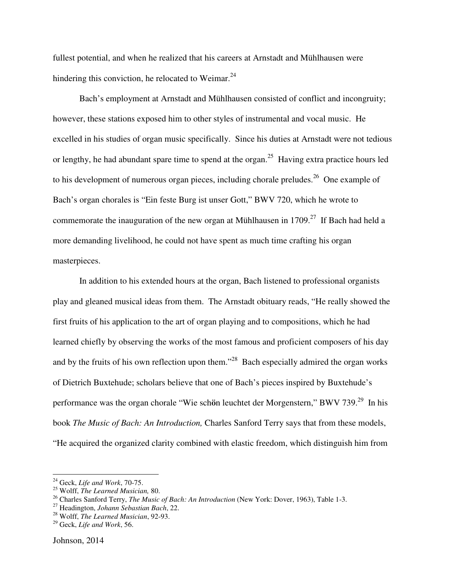fullest potential, and when he realized that his careers at Arnstadt and Mühlhausen were hindering this conviction, he relocated to Weimar. $^{24}$ 

Bach's employment at Arnstadt and Mühlhausen consisted of conflict and incongruity; however, these stations exposed him to other styles of instrumental and vocal music. He excelled in his studies of organ music specifically. Since his duties at Arnstadt were not tedious or lengthy, he had abundant spare time to spend at the organ.<sup>25</sup> Having extra practice hours led to his development of numerous organ pieces, including chorale preludes.<sup>26</sup> One example of Bach's organ chorales is "Ein feste Burg ist unser Gott," BWV 720, which he wrote to commemorate the inauguration of the new organ at Mühlhausen in  $1709<sup>27</sup>$  If Bach had held a more demanding livelihood, he could not have spent as much time crafting his organ masterpieces.

In addition to his extended hours at the organ, Bach listened to professional organists play and gleaned musical ideas from them. The Arnstadt obituary reads, "He really showed the first fruits of his application to the art of organ playing and to compositions, which he had learned chiefly by observing the works of the most famous and proficient composers of his day and by the fruits of his own reflection upon them."<sup>28</sup> Bach especially admired the organ works of Dietrich Buxtehude; scholars believe that one of Bach's pieces inspired by Buxtehude's performance was the organ chorale "Wie sch**ö**n leuchtet der Morgenstern," BWV 739.<sup>29</sup> In his book *The Music of Bach: An Introduction,* Charles Sanford Terry says that from these models, "He acquired the organized clarity combined with elastic freedom, which distinguish him from

<sup>24</sup> Geck, *Life and Work*, 70-75.

<sup>25</sup> Wolff, *The Learned Musician,* 80.

<sup>26</sup> Charles Sanford Terry, *The Music of Bach: An Introduction* (New York: Dover, 1963), Table 1-3.

<sup>27</sup> Headington, *Johann Sebastian Bach*, 22.

<sup>28</sup> Wolff, *The Learned Musician*, 92-93.

<sup>29</sup> Geck, *Life and Work*, 56.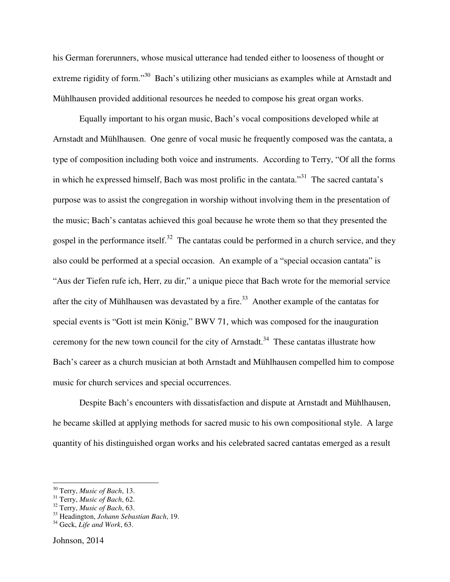his German forerunners, whose musical utterance had tended either to looseness of thought or extreme rigidity of form."<sup>30</sup> Bach's utilizing other musicians as examples while at Arnstadt and Mühlhausen provided additional resources he needed to compose his great organ works.

Equally important to his organ music, Bach's vocal compositions developed while at Arnstadt and Mühlhausen. One genre of vocal music he frequently composed was the cantata, a type of composition including both voice and instruments. According to Terry, "Of all the forms in which he expressed himself, Bach was most prolific in the cantata."<sup>31</sup> The sacred cantata's purpose was to assist the congregation in worship without involving them in the presentation of the music; Bach's cantatas achieved this goal because he wrote them so that they presented the gospel in the performance itself.<sup>32</sup> The cantatas could be performed in a church service, and they also could be performed at a special occasion. An example of a "special occasion cantata" is "Aus der Tiefen rufe ich, Herr, zu dir," a unique piece that Bach wrote for the memorial service after the city of Mühlhausen was devastated by a fire.<sup>33</sup> Another example of the cantatas for special events is "Gott ist mein König," BWV 71, which was composed for the inauguration ceremony for the new town council for the city of Arnstadt.<sup>34</sup> These cantatas illustrate how Bach's career as a church musician at both Arnstadt and Mühlhausen compelled him to compose music for church services and special occurrences.

 Despite Bach's encounters with dissatisfaction and dispute at Arnstadt and Mühlhausen, he became skilled at applying methods for sacred music to his own compositional style. A large quantity of his distinguished organ works and his celebrated sacred cantatas emerged as a result

<sup>30</sup> Terry, *Music of Bach*, 13.

<sup>31</sup> Terry, *Music of Bach*, 62.

<sup>32</sup> Terry, *Music of Bach*, 63.

<sup>33</sup> Headington, *Johann Sebastian Bach*, 19.

<sup>34</sup> Geck, *Life and Work*, 63.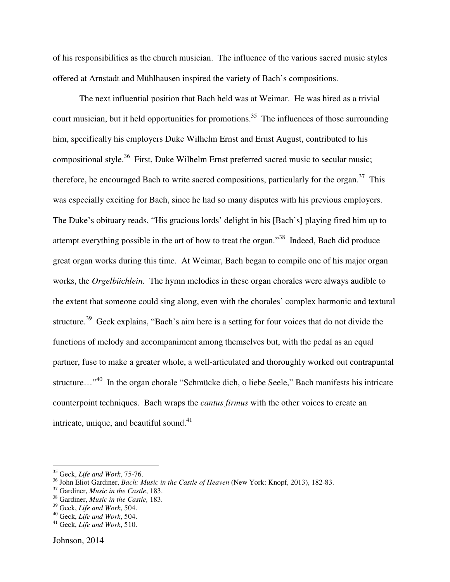of his responsibilities as the church musician. The influence of the various sacred music styles offered at Arnstadt and Mühlhausen inspired the variety of Bach's compositions.

The next influential position that Bach held was at Weimar. He was hired as a trivial court musician, but it held opportunities for promotions.<sup>35</sup> The influences of those surrounding him, specifically his employers Duke Wilhelm Ernst and Ernst August, contributed to his compositional style.<sup>36</sup> First, Duke Wilhelm Ernst preferred sacred music to secular music; therefore, he encouraged Bach to write sacred compositions, particularly for the organ.<sup>37</sup> This was especially exciting for Bach, since he had so many disputes with his previous employers. The Duke's obituary reads, "His gracious lords' delight in his [Bach's] playing fired him up to attempt everything possible in the art of how to treat the organ."<sup>38</sup> Indeed, Bach did produce great organ works during this time. At Weimar, Bach began to compile one of his major organ works, the *Orgelbüchlein.* The hymn melodies in these organ chorales were always audible to the extent that someone could sing along, even with the chorales' complex harmonic and textural structure.<sup>39</sup> Geck explains, "Bach's aim here is a setting for four voices that do not divide the functions of melody and accompaniment among themselves but, with the pedal as an equal partner, fuse to make a greater whole, a well-articulated and thoroughly worked out contrapuntal structure…"<sup>40</sup> In the organ chorale "Schmücke dich, o liebe Seele," Bach manifests his intricate counterpoint techniques. Bach wraps the *cantus firmus* with the other voices to create an intricate, unique, and beautiful sound. $41$ 

<sup>35</sup> Geck, *Life and Work*, 75-76.

<sup>36</sup> John Eliot Gardiner, *Bach: Music in the Castle of Heaven* (New York: Knopf, 2013), 182-83.

<sup>37</sup> Gardiner, *Music in the Castle*, 183.

<sup>38</sup> Gardiner, *Music in the Castle,* 183.

<sup>39</sup> Geck, *Life and Work*, 504.

<sup>40</sup> Geck, *Life and Work*, 504.

<sup>41</sup> Geck, *Life and Work*, 510.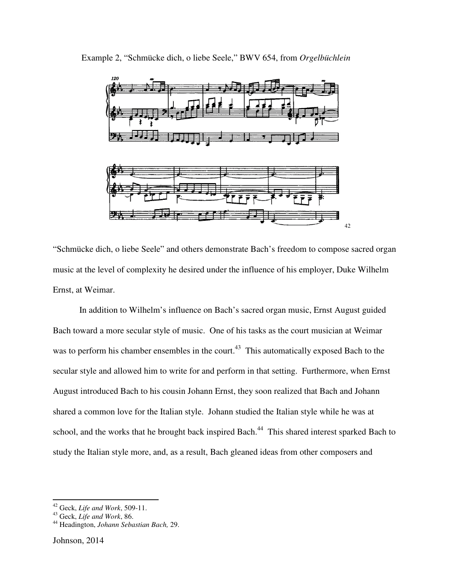

Example 2, "Schmücke dich, o liebe Seele," BWV 654, from Orgelbüchlein

"Schmücke dich, o liebe Seele" and others demonstrate Bach's freedom to compose sacred organ music at the level of complexity he desired under the influence of his employer, Duke Wilhelm Ernst, at Weimar.

In addition to Wilhelm's influence on Bach's sacred organ music, Ernst August guided Bach toward a more secular style of music. One of his tasks as the court musician at Weimar was to perform his chamber ensembles in the court.<sup>43</sup> This automatically exposed Bach to the secular style and allowed him to write for and perform in that setting. Furthermore, when Ernst August introduced Bach to his cousin Johann Ernst, they soon realized that Bach and Johann August introduced Bach to his cousin Johann Ernst, they soon realized that Bach and Johann<br>shared a common love for the Italian style. Johann studied the Italian style while he was at school, and the works that he brought back inspired Bach.<sup>44</sup> This shared interest sparked Bach to study the Italian style more, and, as a result, Bach Bach gleaned ideas from other composers an ks as the court musician at Weim<br>at sation at setting. Furthermore, when I<br>hat setting. Furthermore, when I<br>oon realized that Bach and Johan<br>I the Italian style while he was at<br><sup>4</sup> This shared interest sparked B<br>ideas from

<sup>42</sup> Geck, *Life and Work*, 509-11.

<sup>43</sup> Geck, *Life and Work*, 86.

<sup>44</sup> Headington, *Johann Sebastian Bach,* 29.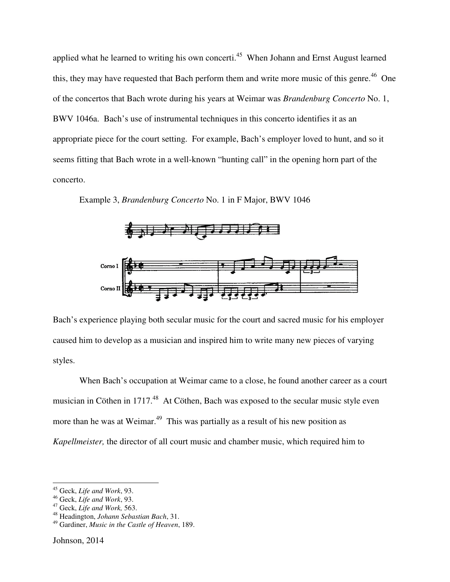applied what he learned to writing his own concerti.<sup>45</sup> When Johann and Ernst August learned this, they may have requested that Bach perform them and write more music of this genre.<sup>46</sup> One of the concertos that Bach wrote during his years at Weimar was *Brandenburg Concerto* No. 1, BWV 1046a. Bach's use of instrumental techniques in this concerto identifies it as an BWV 1046a. Bach's use of instrumental techniques in this concerto identifies it as an<br>appropriate piece for the court setting. For example, Bach's employer loved to hunt, and so it seems fitting that Bach wrote in a well-known "hunting call" in the opening horn part of the concerto.

Example 3, *Brandenburg Concerto* No. 1 in F Major, BWV 1046



Bach's experience playing both secular music for the court and sacred music for his employer caused him to develop as a musician and inspired him to write many new pieces of varying styles. secular music for the court and sacred music for his employ<br>cian and inspired him to write many new pieces of varying<br>at Weimar came to a close, he found another career as a co

When Bach's occupation at Weimar came to a close, he found another career as a court musician in Cöthen in 1717.<sup>48</sup> At Cöthen, Bach was exposed to the secular music style even more than he was at Weimar.<sup>49</sup> This was partially as a result of his new position as *Kapellmeister,* the director of all court music and chamber music , ed to the secular music style even<br>alt of his new position as<br>music, which required him to

<sup>45</sup> Geck, *Life and Work*, 93.

<sup>46</sup> Geck, *Life and Work*, 93.

<sup>47</sup> Geck, *Life and Work,* 563.

<sup>48</sup> Headington, *Johann Sebastian Bach*, 31.

<sup>&</sup>lt;sup>49</sup> Gardiner, *Music in the Castle of Heaven*, 189.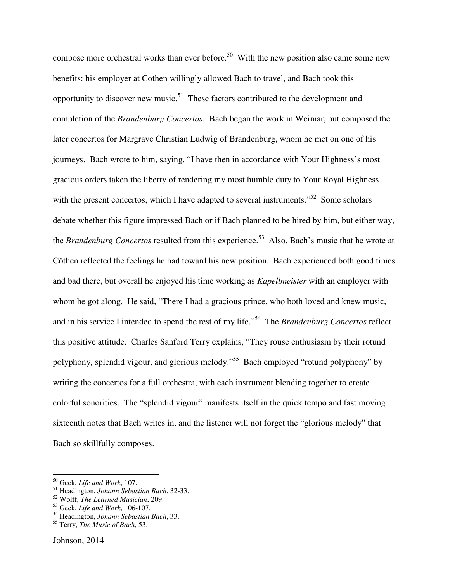compose more orchestral works than ever before.<sup>50</sup> With the new position also came some new benefits: his employer at Cöthen willingly allowed Bach to travel, and Bach took this opportunity to discover new music.<sup>51</sup> These factors contributed to the development and completion of the *Brandenburg Concertos*. Bach began the work in Weimar, but composed the later concertos for Margrave Christian Ludwig of Brandenburg, whom he met on one of his journeys. Bach wrote to him, saying, "I have then in accordance with Your Highness's most gracious orders taken the liberty of rendering my most humble duty to Your Royal Highness with the present concertos, which I have adapted to several instruments."<sup>52</sup> Some scholars debate whether this figure impressed Bach or if Bach planned to be hired by him, but either way, the *Brandenburg Concertos* resulted from this experience.<sup>53</sup> Also, Bach's music that he wrote at Cöthen reflected the feelings he had toward his new position. Bach experienced both good times and bad there, but overall he enjoyed his time working as *Kapellmeister* with an employer with whom he got along. He said, "There I had a gracious prince, who both loved and knew music, and in his service I intended to spend the rest of my life."<sup>54</sup> The *Brandenburg Concertos* reflect this positive attitude. Charles Sanford Terry explains, "They rouse enthusiasm by their rotund polyphony, splendid vigour, and glorious melody."<sup>55</sup> Bach employed "rotund polyphony" by writing the concertos for a full orchestra, with each instrument blending together to create colorful sonorities. The "splendid vigour" manifests itself in the quick tempo and fast moving sixteenth notes that Bach writes in, and the listener will not forget the "glorious melody" that Bach so skillfully composes.

<sup>50</sup> Geck, *Life and Work*, 107.

<sup>51</sup> Headington, *Johann Sebastian Bach*, 32-33.

<sup>52</sup> Wolff, *The Learned Musician*, 209.

<sup>53</sup> Geck, *Life and Work*, 106-107.

<sup>54</sup> Headington, *Johann Sebastian Bach*, 33.

<sup>55</sup> Terry, *The Music of Bach*, 53.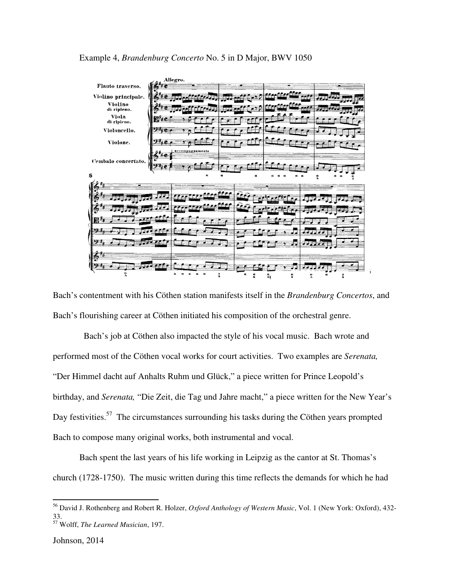

Bach's contentment with his Cöthen station manifests itself in the *Brandenburg Concertos* , and Bach's flourishing career at Cöthen initiated his composition of the orchestral genre.

flourishing career at Cöthen initiated his composition of the orchestral genre.<br>Bach's job at Cöthen also impacted the style of his vocal music. Bach wrote and performed most of the Cöthen vocal works for court activities. Two examples are *Serenata,*  "Der Himmel dacht auf Anhalts Ruhm und Glück," a piece written for Prince Leopold's birthday, and *Serenata*, "Die Zeit, die Tag und Jahre macht," a piece written for the New Year's Day festivities.<sup>57</sup> The circumstances surrounding his tasks during the Cöthen years prompted Day festivities.<sup>37</sup> The circumstances surrounding his tasks during the Bach to compose many original works, both instrumental and vocal. Prince Leopold's<br>ritten for the New<br>Cöthen years prom<sub>l</sub><br>antor at St. Thomas

Bach spent the last years of his life working in Leipzig as the cantor at St. Thomas's church (1728-1750). The music written during this time reflects the demands for which he had

<sup>&</sup>lt;sup>56</sup> David J. Rothenberg and Robert R. Holzer, Oxford Anthology of Western Music, Vol. 1 (New York: Oxford), 432-33. <sup>57</sup> Wolff, *The Learned Musician*, 197.

Johnson, 2014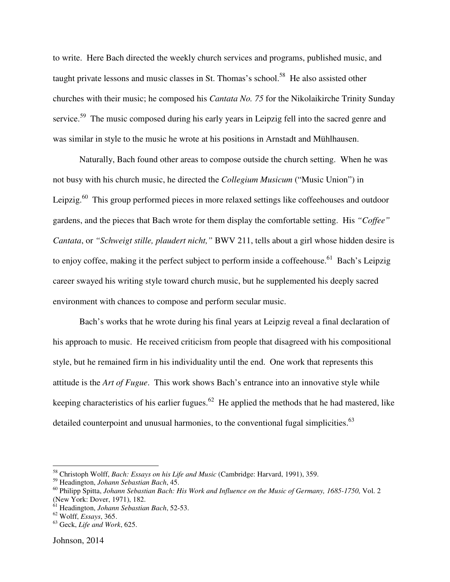to write. Here Bach directed the weekly church services and programs, published music, and taught private lessons and music classes in St. Thomas's school.<sup>58</sup> He also assisted other churches with their music; he composed his *Cantata No. 75* for the Nikolaikirche Trinity Sunday service.<sup>59</sup> The music composed during his early years in Leipzig fell into the sacred genre and was similar in style to the music he wrote at his positions in Arnstadt and Mühlhausen.

Naturally, Bach found other areas to compose outside the church setting. When he was not busy with his church music, he directed the *Collegium Musicum* ("Music Union") in Leipzig.<sup>60</sup> This group performed pieces in more relaxed settings like coffeehouses and outdoor gardens, and the pieces that Bach wrote for them display the comfortable setting. His *"Coffee" Cantata*, or *"Schweigt stille, plaudert nicht,"* BWV 211, tells about a girl whose hidden desire is to enjoy coffee, making it the perfect subject to perform inside a coffeehouse.<sup>61</sup> Bach's Leipzig career swayed his writing style toward church music, but he supplemented his deeply sacred environment with chances to compose and perform secular music.

Bach's works that he wrote during his final years at Leipzig reveal a final declaration of his approach to music. He received criticism from people that disagreed with his compositional style, but he remained firm in his individuality until the end. One work that represents this attitude is the *Art of Fugue*. This work shows Bach's entrance into an innovative style while keeping characteristics of his earlier fugues.<sup>62</sup> He applied the methods that he had mastered, like detailed counterpoint and unusual harmonies, to the conventional fugal simplicities. $^{63}$ 

<sup>58</sup> Christoph Wolff, *Bach: Essays on his Life and Music* (Cambridge: Harvard, 1991), 359.

<sup>59</sup> Headington, *Johann Sebastian Bach*, 45.

<sup>60</sup> Philipp Spitta, *Johann Sebastian Bach: His Work and Influence on the Music of Germany, 1685-1750,* Vol. 2 (New York: Dover, 1971), 182.

<sup>61</sup> Headington, *Johann Sebastian Bach*, 52-53.

<sup>62</sup> Wolff, *Essays*, 365.

<sup>63</sup> Geck, *Life and Work*, 625.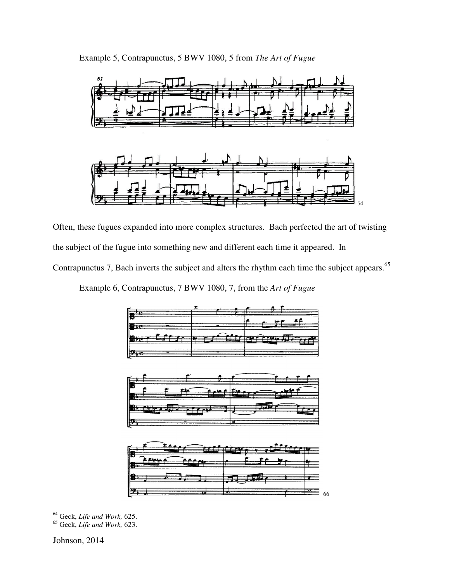



Often, these fugues expanded into more complex structures. Bach perfected the art of twisting the subject of the fugue into something new and different each time it appeared. In the subject of the fugue into something new and different each time it appeared. In<br>Contrapunctus 7, Bach inverts the subject and alters the rhythm each time the subject appears.<sup>65</sup>

Example 6, Contrapunctus, 7 BWV 1080, 7, from the *Art of Fugue* 

| -                        |                                     |            |                            |
|--------------------------|-------------------------------------|------------|----------------------------|
|                          |                                     |            |                            |
| $ -$<br>म्म              | $\overline{\phantom{a}}$<br>≖<br>۰. | ----<br>-- | -<br><b>CONTRACTOR</b><br> |
| $\overline{\phantom{a}}$ |                                     |            |                            |

| -        |   |          |   |
|----------|---|----------|---|
| IĦ<br>IF |   |          |   |
|          |   | . .<br>× |   |
| --<br>ΙŦ | क |          | - |

| IB<br><b>IDE</b> | . .<br>. .  |    |
|------------------|-------------|----|
|                  |             |    |
| $-$              | —<br>- 23 - | 66 |

<sup>64</sup> Geck, *Life and Work,* 625.

<sup>65</sup> Geck, *Life and Work,* 623.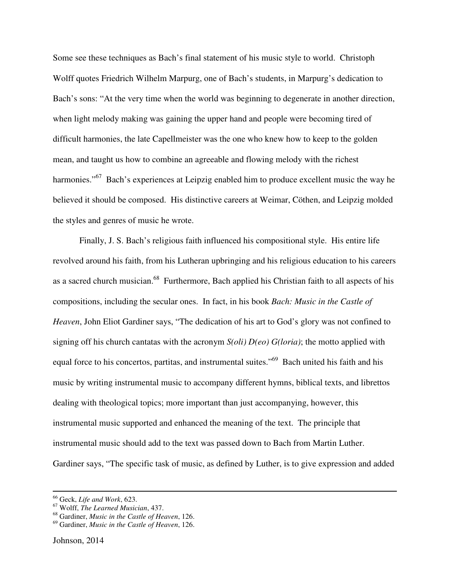Some see these techniques as Bach's final statement of his music style to world. Christoph Wolff quotes Friedrich Wilhelm Marpurg, one of Bach's students, in Marpurg's dedication to Bach's sons: "At the very time when the world was beginning to degenerate in another direction, when light melody making was gaining the upper hand and people were becoming tired of difficult harmonies, the late Capellmeister was the one who knew how to keep to the golden mean, and taught us how to combine an agreeable and flowing melody with the richest harmonies."<sup>67</sup> Bach's experiences at Leipzig enabled him to produce excellent music the way he believed it should be composed. His distinctive careers at Weimar, Cöthen, and Leipzig molded the styles and genres of music he wrote.

Finally, J. S. Bach's religious faith influenced his compositional style. His entire life revolved around his faith, from his Lutheran upbringing and his religious education to his careers as a sacred church musician.<sup>68</sup> Furthermore, Bach applied his Christian faith to all aspects of his compositions, including the secular ones. In fact, in his book *Bach: Music in the Castle of Heaven*, John Eliot Gardiner says, "The dedication of his art to God's glory was not confined to signing off his church cantatas with the acronym *S(oli) D(eo) G(loria)*; the motto applied with equal force to his concertos, partitas, and instrumental suites."<sup>69</sup> Bach united his faith and his music by writing instrumental music to accompany different hymns, biblical texts, and librettos dealing with theological topics; more important than just accompanying, however, this instrumental music supported and enhanced the meaning of the text. The principle that instrumental music should add to the text was passed down to Bach from Martin Luther. Gardiner says, "The specific task of music, as defined by Luther, is to give expression and added

<sup>66</sup> Geck, *Life and Work*, 623.

<sup>67</sup> Wolff, *The Learned Musician*, 437.

<sup>68</sup> Gardiner, *Music in the Castle of Heaven*, 126.

<sup>69</sup> Gardiner, *Music in the Castle of Heaven*, 126.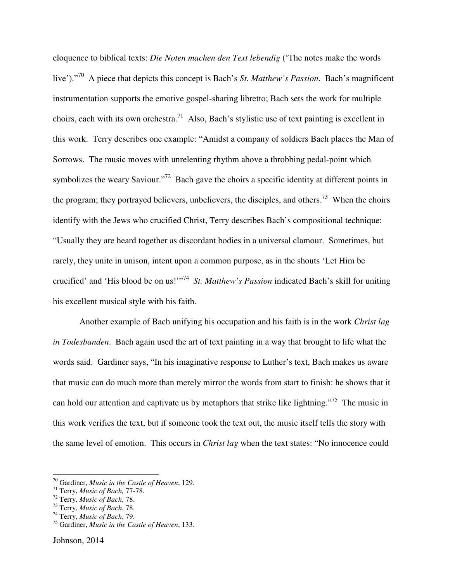eloquence to biblical texts: *Die Noten machen den Text lebendig* ('The notes make the words live')."<sup>70</sup> A piece that depicts this concept is Bach's *St. Matthew's Passion*. Bach's magnificent instrumentation supports the emotive gospel-sharing libretto; Bach sets the work for multiple choirs, each with its own orchestra.<sup>71</sup> Also, Bach's stylistic use of text painting is excellent in this work. Terry describes one example: "Amidst a company of soldiers Bach places the Man of Sorrows. The music moves with unrelenting rhythm above a throbbing pedal-point which symbolizes the weary Saviour."<sup>72</sup> Bach gave the choirs a specific identity at different points in the program; they portrayed believers, unbelievers, the disciples, and others.<sup>73</sup> When the choirs identify with the Jews who crucified Christ, Terry describes Bach's compositional technique: "Usually they are heard together as discordant bodies in a universal clamour. Sometimes, but rarely, they unite in unison, intent upon a common purpose, as in the shouts 'Let Him be crucified' and 'His blood be on us!'"<sup>74</sup> *St. Matthew's Passion* indicated Bach's skill for uniting his excellent musical style with his faith.

Another example of Bach unifying his occupation and his faith is in the work *Christ lag in Todesbanden*. Bach again used the art of text painting in a way that brought to life what the words said. Gardiner says, "In his imaginative response to Luther's text, Bach makes us aware that music can do much more than merely mirror the words from start to finish: he shows that it can hold our attention and captivate us by metaphors that strike like lightning."<sup>75</sup> The music in this work verifies the text, but if someone took the text out, the music itself tells the story with the same level of emotion. This occurs in *Christ lag* when the text states: "No innocence could

<sup>70</sup> Gardiner, *Music in the Castle of Heaven*, 129.

<sup>71</sup> Terry, *Music of Bach,* 77-78.

<sup>72</sup> Terry, *Music of Bach*, 78.

<sup>73</sup> Terry, *Music of Bach*, 78.

<sup>74</sup> Terry, *Music of Bach*, 79.

<sup>75</sup> Gardiner, *Music in the Castle of Heaven*, 133.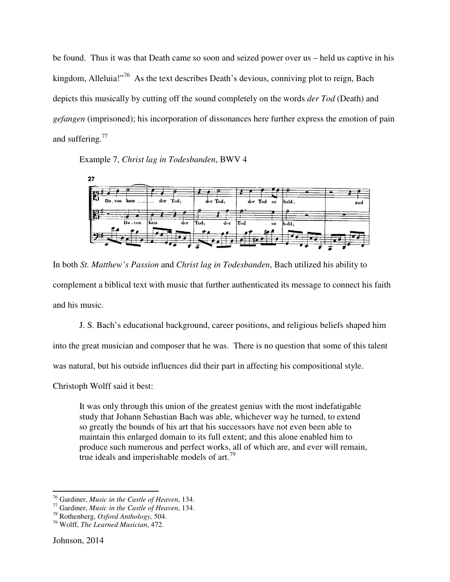be found. Thus it was that Death came so soon and seized power over us – held us captive in his kingdom, Alleluia!"<sup>76</sup> As the text describes Death's devious, conniving plot to reign, Bach kingdom, Alleluia!"<sup>76</sup> As the text describes Death's devious, conniving plot to reign, depicts this musically by cutting off the sound completely on the words *der Tod* (Death) and gefangen (imprisoned); his incorporation of dissonances here further express the emotion of pain and suffering. $^{77}$ 

# Example 7, *Christ lag in Todesbanden*, BWV 4



In both *St. Matthew's Passion* and *Christ lag in Todesbanden*, Bach utilized his ability to In both *St. Matthew's Passion* and *Christ lag in Todesbanden*, Bach utilized his ability to<br>complement a biblical text with music that further authenticated its message to connect his faith and his music.

J. S. Bach's educational background, career positions, and religious beliefs shaped him into the great musician and composer that he was. There is no question that some of this talent was natural, but his outside influences did their part background, career positions, and religious beliefs shape<br>poser that he was. There is no question that some of this<br>nences did their part in affecting his compositional style.

Christoph Wolff said it best:

It was only through this union of the greatest genius with the most indefatigable study that Johann Sebastian Bach was able, whichever way he turned, to extend so greatly the bounds of his art that his successors have not even been able to maintain this enlarged domain to its full extent; and this alone enabled him to produce such numerous and perfect works, all of which are, and ever will remain, true ideals and imperishable models of art.<sup>19</sup> It Johann Sebastian Bach was able, whichever way he turned, to extend<br>y the bounds of his art that his successors have not even been able to<br>this enlarged domain to its full extent; and this alone enabled him to<br>such nume

<sup>&</sup>lt;sup>76</sup> Gardiner, *Music in the Castle of Heaven*, 134.

<sup>&</sup>lt;sup>77</sup> Gardiner, *Music in the Castle of Heaven*, 134.

<sup>78</sup> Rothenberg, *Oxford Anthology,* 504.

<sup>79</sup> Wolff, *The Learned Musician*, 472.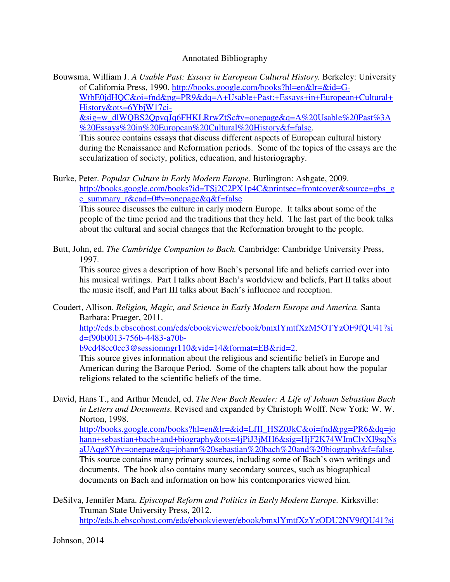### Annotated Bibliography

Bouwsma, William J. *A Usable Past: Essays in European Cultural History.* Berkeley: University of California Press, 1990. http://books.google.com/books?hl=en&lr=&id=G-WtbE0jdHQC&oi=fnd&pg=PR9&dq=A+Usable+Past:+Essays+in+European+Cultural+ History&ots=6YbjW17ci-

&sig=w\_dlWQBS2QpvqJq6FHKLRrwZtSc#v=onepage&q=A%20Usable%20Past%3A %20Essays%20in%20European%20Cultural%20History&f=false.

 This source contains essays that discuss different aspects of European cultural history during the Renaissance and Reformation periods. Some of the topics of the essays are the secularization of society, politics, education, and historiography.

Burke, Peter. *Popular Culture in Early Modern Europe.* Burlington: Ashgate, 2009. http://books.google.com/books?id=TSj2C2PX1p4C&printsec=frontcover&source=gbs\_g e\_summary\_r&cad=0#v=onepage&q&f=false

 This source discusses the culture in early modern Europe. It talks about some of the people of the time period and the traditions that they held. The last part of the book talks about the cultural and social changes that the Reformation brought to the people.

Butt, John, ed. *The Cambridge Companion to Bach.* Cambridge: Cambridge University Press, 1997.

 This source gives a description of how Bach's personal life and beliefs carried over into his musical writings. Part I talks about Bach's worldview and beliefs, Part II talks about the music itself, and Part III talks about Bach's influence and reception.

Coudert, Allison. *Religion, Magic, and Science in Early Modern Europe and America.* Santa Barbara: Praeger, 2011.

http://eds.b.ebscohost.com/eds/ebookviewer/ebook/bmxlYmtfXzM5OTYzOF9fQU41?si d=f90b0013-756b-4483-a70b-

b9cd48cc0cc3@sessionmgr110&vid=14&format=EB&rid=2.

 This source gives information about the religious and scientific beliefs in Europe and American during the Baroque Period. Some of the chapters talk about how the popular religions related to the scientific beliefs of the time.

David, Hans T., and Arthur Mendel, ed. *The New Bach Reader: A Life of Johann Sebastian Bach in Letters and Documents.* Revised and expanded by Christoph Wolff. New York: W. W. Norton, 1998.

http://books.google.com/books?hl=en&lr=&id=LfII\_HSZ0JkC&oi=fnd&pg=PR6&dq=jo hann+sebastian+bach+and+biography&ots=4jPiJ3jMH6&sig=HjF2K74WImClvXI9sqNs aUAqg8Y#v=onepage&q=johann%20sebastian%20bach%20and%20biography&f=false. This source contains many primary sources, including some of Bach's own writings and documents. The book also contains many secondary sources, such as biographical documents on Bach and information on how his contemporaries viewed him.

DeSilva, Jennifer Mara. *Episcopal Reform and Politics in Early Modern Europe.* Kirksville: Truman State University Press, 2012. http://eds.b.ebscohost.com/eds/ebookviewer/ebook/bmxlYmtfXzYzODU2NV9fQU41?si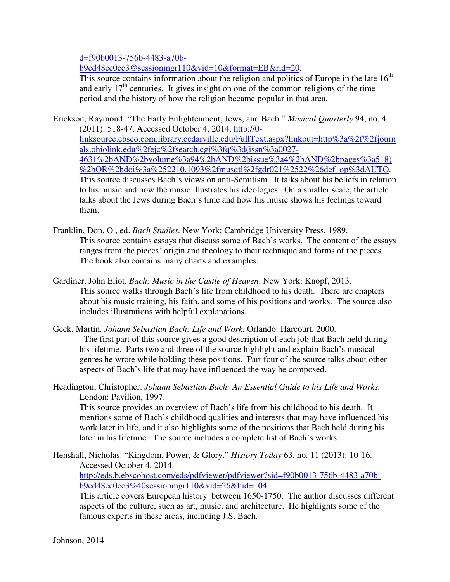d=f90b0013-756b-4483-a70b-

b9cd48cc0cc3@sessionmgr110&vid=10&format=EB&rid=20.

This source contains information about the religion and politics of Europe in the late  $16<sup>th</sup>$ and early  $17<sup>th</sup>$  centuries. It gives insight on one of the common religions of the time period and the history of how the religion became popular in that area.

Erickson, Raymond. "The Early Enlightenment, Jews, and Bach." *Musical Quarterly* 94, no. 4 (2011): 518-47. Accessed October 4, 2014. http://0 linksource.ebsco.com.library.cedarville.edu/FullText.aspx?linkout=http%3a%2f%2fjourn als.ohiolink.edu%2fejc%2fsearch.cgi%3fq%3d(issn%3a0027- 4631%2bAND%2bvolume%3a94%2bAND%2bissue%3a4%2bAND%2bpages%3a518) %2bOR%2bdoi%3a%252210.1093%2fmusqtl%2fgdr021%2522%26def\_op%3dAUTO. This source discusses Bach's views on anti-Semitism. It talks about his beliefs in relation to his music and how the music illustrates his ideologies. On a smaller scale, the article talks about the Jews during Bach's time and how his music shows his feelings toward them.

- Franklin, Don. O., ed. *Bach Studies.* New York: Cambridge University Press, 1989. This source contains essays that discuss some of Bach's works. The content of the essays ranges from the pieces' origin and theology to their technique and forms of the pieces. The book also contains many charts and examples.
- Gardiner, John Eliot. *Bach: Music in the Castle of Heaven*. New York: Knopf, 2013. This source walks through Bach's life from childhood to his death. There are chapters about his music training, his faith, and some of his positions and works. The source also includes illustrations with helpful explanations.
- Geck, Martin. *Johann Sebastian Bach: Life and Work.* Orlando: Harcourt, 2000. The first part of this source gives a good description of each job that Bach held during his lifetime. Parts two and three of the source highlight and explain Bach's musical genres he wrote while holding these positions. Part four of the source talks about other aspects of Bach's life that may have influenced the way he composed.
- Headington, Christopher. *Johann Sebastian Bach: An Essential Guide to his Life and Works.*  London: Pavilion, 1997.

 This source provides an overview of Bach's life from his childhood to his death. It mentions some of Bach's childhood qualities and interests that may have influenced his work later in life, and it also highlights some of the positions that Bach held during his later in his lifetime. The source includes a complete list of Bach's works.

Henshall, Nicholas. "Kingdom, Power, & Glory." *History Today* 63, no. 11 (2013): 10-16. Accessed October 4, 2014. http://eds.b.ebscohost.com/eds/pdfviewer/pdfviewer?sid=f90b0013-756b-4483-a70bb9cd48cc0cc3%40sessionmgr110&vid=26&hid=104.

 This article covers European history between 1650-1750. The author discusses different aspects of the culture, such as art, music, and architecture. He highlights some of the famous experts in these areas, including J.S. Bach.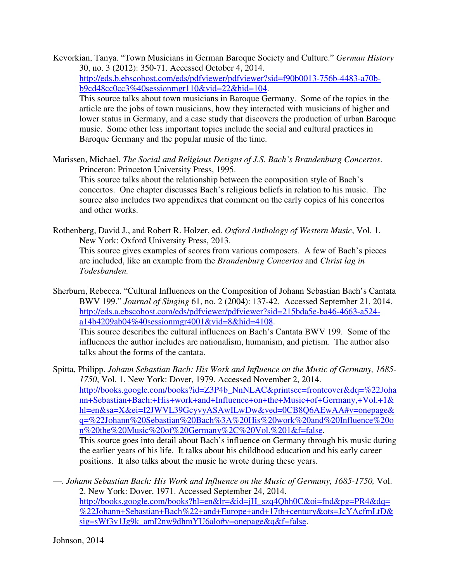- Kevorkian, Tanya. "Town Musicians in German Baroque Society and Culture." *German History* 30, no. 3 (2012): 350-71. Accessed October 4, 2014. http://eds.b.ebscohost.com/eds/pdfviewer/pdfviewer?sid=f90b0013-756b-4483-a70bb9cd48cc0cc3%40sessionmgr110&vid=22&hid=104. This source talks about town musicians in Baroque Germany. Some of the topics in the article are the jobs of town musicians, how they interacted with musicians of higher and lower status in Germany, and a case study that discovers the production of urban Baroque music. Some other less important topics include the social and cultural practices in Baroque Germany and the popular music of the time.
- Marissen, Michael. *The Social and Religious Designs of J.S. Bach's Brandenburg Concertos*. Princeton: Princeton University Press, 1995.

 This source talks about the relationship between the composition style of Bach's concertos. One chapter discusses Bach's religious beliefs in relation to his music. The source also includes two appendixes that comment on the early copies of his concertos and other works.

Rothenberg, David J., and Robert R. Holzer, ed. *Oxford Anthology of Western Music*, Vol. 1. New York: Oxford University Press, 2013. This source gives examples of scores from various composers. A few of Bach's pieces are included, like an example from the *Brandenburg Concertos* and *Christ lag in Todesbanden.*

Sherburn, Rebecca. "Cultural Influences on the Composition of Johann Sebastian Bach's Cantata BWV 199." *Journal of Singing* 61, no. 2 (2004): 137-42. Accessed September 21, 2014. http://eds.a.ebscohost.com/eds/pdfviewer/pdfviewer?sid=215bda5e-ba46-4663-a524 a14b4209ab04%40sessionmgr4001&vid=8&hid=4108.

 This source describes the cultural influences on Bach's Cantata BWV 199. Some of the influences the author includes are nationalism, humanism, and pietism. The author also talks about the forms of the cantata.

Spitta, Philipp. *Johann Sebastian Bach: His Work and Influence on the Music of Germany, 1685- 1750*, Vol. 1. New York: Dover, 1979. Accessed November 2, 2014. http://books.google.com/books?id=Z3P4b\_NnNLAC&printsec=frontcover&dq=%22Joha nn+Sebastian+Bach:+His+work+and+Influence+on+the+Music+of+Germany,+Vol.+1& hl=en&sa=X&ei=I2JWVL39GcyvyASAwILwDw&ved=0CB8Q6AEwAA#v=onepage& q=%22Johann%20Sebastian%20Bach%3A%20His%20work%20and%20Influence%20o n%20the%20Music%20of%20Germany%2C%20Vol.%201&f=false.

 This source goes into detail about Bach's influence on Germany through his music during the earlier years of his life. It talks about his childhood education and his early career positions. It also talks about the music he wrote during these years.

—. *Johann Sebastian Bach: His Work and Influence on the Music of Germany, 1685-1750,* Vol. 2. New York: Dover, 1971. Accessed September 24, 2014. http://books.google.com/books?hl=en&lr=&id=jH\_szq4Qhh0C&oi=fnd&pg=PR4&dq= %22Johann+Sebastian+Bach%22+and+Europe+and+17th+century&ots=JcYAcfmLtD& sig=sWf3v1Jg9k\_amI2nw9dhmYU6alo#v=onepage&q&f=false.